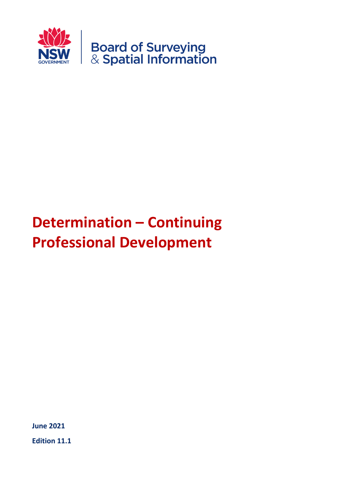

# **Determination – Continuing Professional Development**

**June 2021**

**Edition 11.1**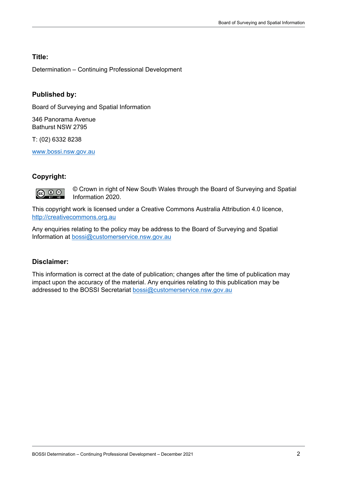#### **Title:**

Determination – Continuing Professional Development

#### **Published by:**

Board of Surveying and Spatial Information

346 Panorama Avenue Bathurst NSW 2795

T: (02) 6332 8238

[www.bossi.nsw.gov.au](http://www.bossi.nsw.gov.au/)

#### **Copyright:**



© Crown in right of New South Wales through the Board of Surveying and Spatial Information 2020.

This copyright work is licensed under a Creative Commons Australia Attribution 4.0 licence, [http://creativecommons.org.au](http://creativecommons.org.au/)

Any enquiries relating to the policy may be address to the Board of Surveying and Spatial Information at [bossi@customerservice.nsw.gov.au](mailto:bossi@customerservice.nsw.gov.au)

#### **Disclaimer:**

This information is correct at the date of publication; changes after the time of publication may impact upon the accuracy of the material. Any enquiries relating to this publication may be addressed to the BOSSI Secretariat [bossi@customerservice.nsw.gov.au](mailto:bossi@customerservice.nsw.gov.au)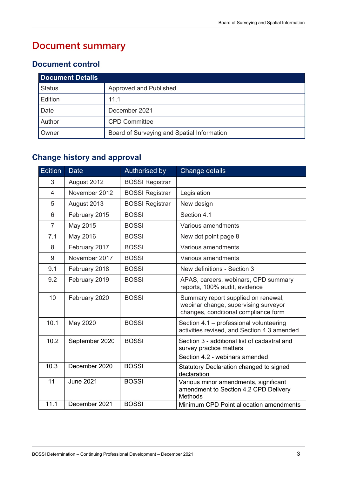# **Document summary**

#### **Document control**

| <b>Document Details</b> |                                            |  |  |
|-------------------------|--------------------------------------------|--|--|
| <b>Status</b>           | Approved and Published                     |  |  |
| Edition                 | 11.1                                       |  |  |
| Date                    | December 2021                              |  |  |
| Author                  | <b>CPD Committee</b>                       |  |  |
| Owner                   | Board of Surveying and Spatial Information |  |  |

## **Change history and approval**

| <b>Edition</b> | <b>Date</b>      | Authorised by          | <b>Change details</b>                                                                                               |  |
|----------------|------------------|------------------------|---------------------------------------------------------------------------------------------------------------------|--|
| 3              | August 2012      | <b>BOSSI Registrar</b> |                                                                                                                     |  |
| 4              | November 2012    | <b>BOSSI Registrar</b> | Legislation                                                                                                         |  |
| 5              | August 2013      | <b>BOSSI Registrar</b> | New design                                                                                                          |  |
| 6              | February 2015    | <b>BOSSI</b>           | Section 4.1                                                                                                         |  |
| $\overline{7}$ | May 2015         | <b>BOSSI</b>           | Various amendments                                                                                                  |  |
| 7.1            | May 2016         | <b>BOSSI</b>           | New dot point page 8                                                                                                |  |
| 8              | February 2017    | <b>BOSSI</b>           | Various amendments                                                                                                  |  |
| 9              | November 2017    | <b>BOSSI</b>           | Various amendments                                                                                                  |  |
| 9.1            | February 2018    | <b>BOSSI</b>           | New definitions - Section 3                                                                                         |  |
| 9.2            | February 2019    | <b>BOSSI</b>           | APAS, careers, webinars, CPD summary<br>reports, 100% audit, evidence                                               |  |
| 10             | February 2020    | <b>BOSSI</b>           | Summary report supplied on renewal,<br>webinar change, supervising surveyor<br>changes, conditional compliance form |  |
| 10.1           | May 2020         | <b>BOSSI</b>           | Section 4.1 - professional volunteering<br>activities revised, and Section 4.3 amended                              |  |
| 10.2           | September 2020   | <b>BOSSI</b>           | Section 3 - additional list of cadastral and<br>survey practice matters<br>Section 4.2 - webinars amended           |  |
| 10.3           | December 2020    | <b>BOSSI</b>           | Statutory Declaration changed to signed<br>declaration                                                              |  |
| 11             | <b>June 2021</b> | <b>BOSSI</b>           | Various minor amendments, significant<br>amendment to Section 4.2 CPD Delivery<br>Methods                           |  |
| 11.1           | December 2021    | <b>BOSSI</b>           | Minimum CPD Point allocation amendments                                                                             |  |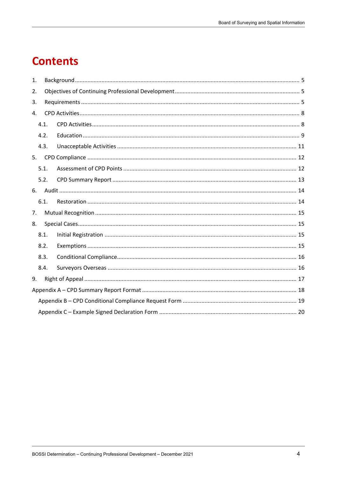# **Contents**

| 1.             |      |  |  |  |
|----------------|------|--|--|--|
| 2.             |      |  |  |  |
| 3.             |      |  |  |  |
| $\mathbf{4}$ . |      |  |  |  |
|                | 4.1. |  |  |  |
|                | 4.2. |  |  |  |
|                | 4.3. |  |  |  |
| 5.             |      |  |  |  |
|                | 5.1. |  |  |  |
|                | 5.2. |  |  |  |
| 6.             |      |  |  |  |
|                | 6.1. |  |  |  |
| 7.             |      |  |  |  |
| 8.             |      |  |  |  |
|                | 8.1. |  |  |  |
|                | 8.2. |  |  |  |
| 8.3.           |      |  |  |  |
|                | 8.4. |  |  |  |
| 9.             |      |  |  |  |
|                |      |  |  |  |
|                |      |  |  |  |
|                |      |  |  |  |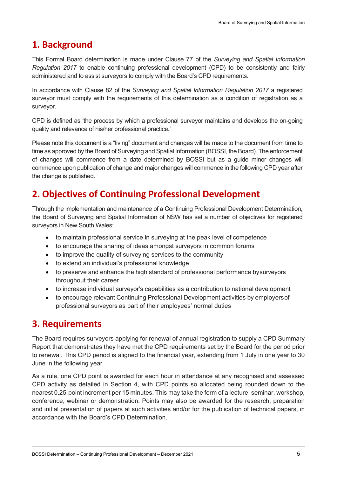## <span id="page-4-0"></span>**1. Background**

This Formal Board determination is made under Clause 77 of the *Surveying and Spatial Information Regulation 2017* to enable continuing professional development (CPD) to be consistently and fairly administered and to assist surveyors to comply with the Board's CPD requirements.

In accordance with Clause 82 of the *Surveying and Spatial Information Regulation 2017* a registered surveyor must comply with the requirements of this determination as a condition of registration as a surveyor.

CPD is defined as 'the process by which a professional surveyor maintains and develops the on-going quality and relevance of his/her professional practice.'

Please note this document is a "living" document and changes will be made to the document from time to time as approved by the Board of Surveying and Spatial Information (BOSSI, the Board). The enforcement of changes will commence from a date determined by BOSSI but as a guide minor changes will commence upon publication of change and major changes will commence in the following CPD year after the change is published.

## <span id="page-4-1"></span>**2. Objectives of Continuing Professional Development**

Through the implementation and maintenance of a Continuing Professional Development Determination, the Board of Surveying and Spatial Information of NSW has set a number of objectives for registered surveyors in New South Wales:

- to maintain professional service in surveying at the peak level of competence
- to encourage the sharing of ideas amongst surveyors in common forums
- to improve the quality of surveying services to the community
- to extend an individual's professional knowledge
- to preserve and enhance the high standard of professional performance bysurveyors throughout their career
- to increase individual surveyor's capabilities as a contribution to national development
- to encourage relevant Continuing Professional Development activities by employersof professional surveyors as part of their employees' normal duties

## <span id="page-4-2"></span>**3. Requirements**

The Board requires surveyors applying for renewal of annual registration to supply a CPD Summary Report that demonstrates they have met the CPD requirements set by the Board for the period prior to renewal. This CPD period is aligned to the financial year, extending from 1 July in one year to 30 June in the following year.

As a rule, one CPD point is awarded for each hour in attendance at any recognised and assessed CPD activity as detailed in Section 4, with CPD points so allocated being rounded down to the nearest 0.25-point increment per 15 minutes. This may take the form of a lecture, seminar, workshop, conference, webinar or demonstration. Points may also be awarded for the research, preparation and initial presentation of papers at such activities and/or for the publication of technical papers, in accordance with the Board's CPD Determination.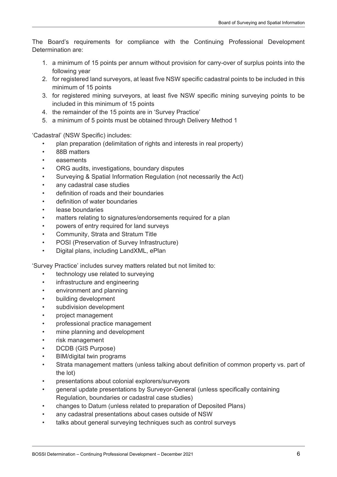The Board's requirements for compliance with the Continuing Professional Development Determination are:

- 1. a minimum of 15 points per annum without provision for carry-over of surplus points into the following year
- 2. for registered land surveyors, at least five NSW specific cadastral points to be included in this minimum of 15 points
- 3. for registered mining surveyors, at least five NSW specific mining surveying points to be included in this minimum of 15 points
- 4. the remainder of the 15 points are in 'Survey Practice'
- 5. a minimum of 5 points must be obtained through Delivery Method 1

'Cadastral' (NSW Specific) includes:

- plan preparation (delimitation of rights and interests in real property)
- 88B matters
- easements
- ORG audits, investigations, boundary disputes
- Surveying & Spatial Information Regulation (not necessarily the Act)
- any cadastral case studies
- definition of roads and their boundaries
- definition of water boundaries
- lease boundaries
- matters relating to signatures/endorsements required for a plan
- powers of entry required for land surveys
- Community, Strata and Stratum Title
- POSI (Preservation of Survey Infrastructure)
- Digital plans, including LandXML, ePlan

'Survey Practice' includes survey matters related but not limited to:

- technology use related to surveying
- infrastructure and engineering
- environment and planning
- building development
- subdivision development
- project management
- professional practice management
- mine planning and development
- risk management
- DCDB (GIS Purpose)
- BIM/digital twin programs
- Strata management matters (unless talking about definition of common property vs. part of the lot)
- presentations about colonial explorers/surveyors
- general update presentations by Surveyor-General (unless specifically containing Regulation, boundaries or cadastral case studies)
- changes to Datum (unless related to preparation of Deposited Plans)
- any cadastral presentations about cases outside of NSW
- talks about general surveying techniques such as control surveys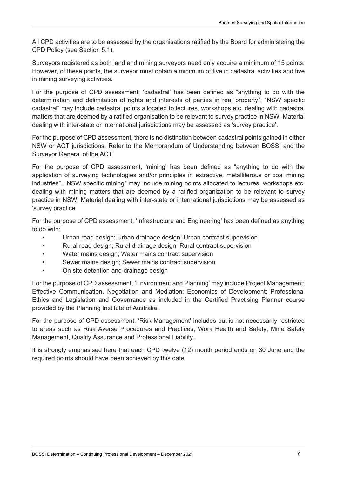All CPD activities are to be assessed by the organisations ratified by the Board for administering the CPD Policy (see Section 5.1).

Surveyors registered as both land and mining surveyors need only acquire a minimum of 15 points. However, of these points, the surveyor must obtain a minimum of five in cadastral activities and five in mining surveying activities.

For the purpose of CPD assessment, 'cadastral' has been defined as "anything to do with the determination and delimitation of rights and interests of parties in real property". "NSW specific cadastral" may include cadastral points allocated to lectures, workshops etc. dealing with cadastral matters that are deemed by a ratified organisation to be relevant to survey practice in NSW. Material dealing with inter-state or international jurisdictions may be assessed as 'survey practice'.

For the purpose of CPD assessment, there is no distinction between cadastral points gained in either NSW or ACT jurisdictions. Refer to the Memorandum of Understanding between BOSSI and the Surveyor General of the ACT.

For the purpose of CPD assessment, 'mining' has been defined as "anything to do with the application of surveying technologies and/or principles in extractive, metalliferous or coal mining industries". "NSW specific mining" may include mining points allocated to lectures, workshops etc. dealing with mining matters that are deemed by a ratified organization to be relevant to survey practice in NSW. Material dealing with inter-state or international jurisdictions may be assessed as 'survey practice'.

For the purpose of CPD assessment, 'Infrastructure and Engineering' has been defined as anything to do with:

- Urban road design; Urban drainage design; Urban contract supervision
- Rural road design; Rural drainage design; Rural contract supervision
- Water mains design; Water mains contract supervision
- Sewer mains design; Sewer mains contract supervision
- On site detention and drainage design

For the purpose of CPD assessment, 'Environment and Planning' may include Project Management; Effective Communication, Negotiation and Mediation; Economics of Development; Professional Ethics and Legislation and Governance as included in the Certified Practising Planner course provided by the Planning Institute of Australia.

For the purpose of CPD assessment, 'Risk Management' includes but is not necessarily restricted to areas such as Risk Averse Procedures and Practices, Work Health and Safety, Mine Safety Management, Quality Assurance and Professional Liability.

It is strongly emphasised here that each CPD twelve (12) month period ends on 30 June and the required points should have been achieved by this date.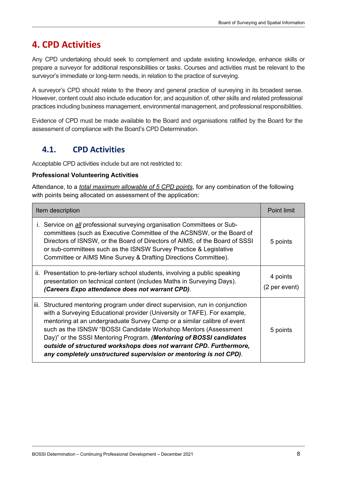## <span id="page-7-0"></span>**4. CPD Activities**

Any CPD undertaking should seek to complement and update existing knowledge, enhance skills or prepare a surveyor for additional responsibilities or tasks. Courses and activities must be relevant to the surveyor's immediate or long-term needs, in relation to the practice of surveying.

A surveyor's CPD should relate to the theory and general practice of surveying in its broadest sense. However, content could also include education for, and acquisition of, other skills and related professional practices including business management, environmental management, and professional responsibilities.

Evidence of CPD must be made available to the Board and organisations ratified by the Board for the assessment of compliance with the Board's CPD Determination.

## <span id="page-7-1"></span>**4.1. CPD Activities**

Acceptable CPD activities include but are not restricted to:

#### **Professional Volunteering Activities**

Attendance, to a *total maximum allowable of 5 CPD points*, for any combination of the following with points being allocated on assessment of the application:

| Item description | <b>Point limit</b>                                                                                                                                                                                                                                                                                                                                                                                                                                                                                                         |                           |
|------------------|----------------------------------------------------------------------------------------------------------------------------------------------------------------------------------------------------------------------------------------------------------------------------------------------------------------------------------------------------------------------------------------------------------------------------------------------------------------------------------------------------------------------------|---------------------------|
|                  | i. Service on <i>all</i> professional surveying organisation Committees or Sub-<br>committees (such as Executive Committee of the ACSNSW, or the Board of<br>Directors of ISNSW, or the Board of Directors of AIMS, of the Board of SSSI<br>or sub-committees such as the ISNSW Survey Practice & Legislative<br>Committee or AIMS Mine Survey & Drafting Directions Committee).                                                                                                                                           | 5 points                  |
|                  | ii. Presentation to pre-tertiary school students, involving a public speaking<br>presentation on technical content (includes Maths in Surveying Days).<br>(Careers Expo attendance does not warrant CPD).                                                                                                                                                                                                                                                                                                                  | 4 points<br>(2 per event) |
|                  | iii. Structured mentoring program under direct supervision, run in conjunction<br>with a Surveying Educational provider (University or TAFE). For example,<br>mentoring at an undergraduate Survey Camp or a similar calibre of event<br>such as the ISNSW "BOSSI Candidate Workshop Mentors (Assessment<br>Day)" or the SSSI Mentoring Program. (Mentoring of BOSSI candidates<br>outside of structured workshops does not warrant CPD. Furthermore,<br>any completely unstructured supervision or mentoring is not CPD). | 5 points                  |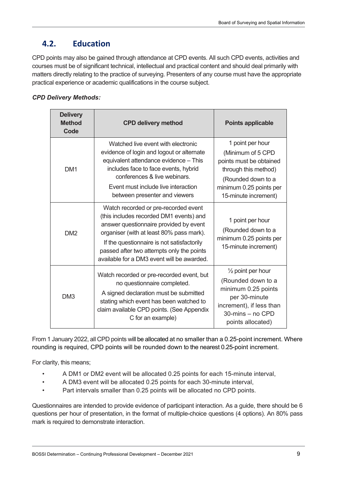## <span id="page-8-0"></span>**4.2. Education**

CPD points may also be gained through attendance at CPD events. All such CPD events, activities and courses must be of significant technical, intellectual and practical content and should deal primarily with matters directly relating to the practice of surveying. Presenters of any course must have the appropriate practical experience or academic qualifications in the course subject.

#### *CPD Delivery Methods:*

| <b>Delivery</b><br><b>Method</b><br>Code | <b>CPD delivery method</b>                                                                                                                                                                                                                                                                                     | <b>Points applicable</b>                                                                                                                                          |
|------------------------------------------|----------------------------------------------------------------------------------------------------------------------------------------------------------------------------------------------------------------------------------------------------------------------------------------------------------------|-------------------------------------------------------------------------------------------------------------------------------------------------------------------|
| DM <sub>1</sub>                          | Watched live event with electronic<br>evidence of login and logout or alternate<br>equivalent attendance evidence - This<br>includes face to face events, hybrid<br>conferences & live webinars.<br>Event must include live interaction<br>between presenter and viewers                                       | 1 point per hour<br>(Minimum of 5 CPD<br>points must be obtained<br>through this method)<br>(Rounded down to a<br>minimum 0.25 points per<br>15-minute increment) |
| DM <sub>2</sub>                          | Watch recorded or pre-recorded event<br>(this includes recorded DM1 events) and<br>answer questionnaire provided by event<br>organiser (with at least 80% pass mark).<br>If the questionnaire is not satisfactorily<br>passed after two attempts only the points<br>available for a DM3 event will be awarded. | 1 point per hour<br>(Rounded down to a<br>minimum 0.25 points per<br>15-minute increment)                                                                         |
| DM <sub>3</sub>                          | Watch recorded or pre-recorded event, but<br>no questionnaire completed.<br>A signed declaration must be submitted<br>stating which event has been watched to<br>claim available CPD points. (See Appendix<br>C for an example)                                                                                | $\frac{1}{2}$ point per hour<br>(Rounded down to a<br>minimum 0.25 points<br>per 30-minute<br>increment), if less than<br>30-mins - no CPD<br>points allocated)   |

From 1 January 2022, all CPD points will be allocated at no smaller than a 0.25-point increment. Where rounding is required, CPD points will be rounded down to the nearest 0.25-point increment.

For clarity, this means;

- A DM1 or DM2 event will be allocated 0.25 points for each 15-minute interval,
- A DM3 event will be allocated 0.25 points for each 30-minute interval,
- Part intervals smaller than 0.25 points will be allocated no CPD points.

Questionnaires are intended to provide evidence of participant interaction. As a guide, there should be 6 questions per hour of presentation, in the format of multiple-choice questions (4 options). An 80% pass mark is required to demonstrate interaction.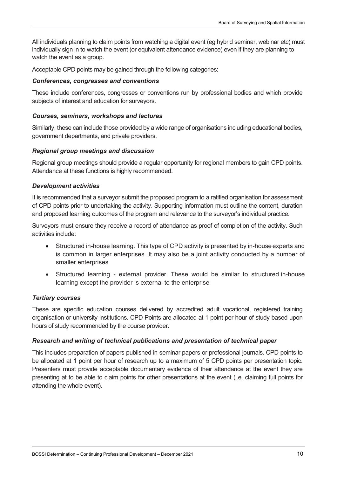All individuals planning to claim points from watching a digital event (eg hybrid seminar, webinar etc) must individually sign in to watch the event (or equivalent attendance evidence) even if they are planning to watch the event as a group.

Acceptable CPD points may be gained through the following categories:

#### *Conferences, congresses and conventions*

These include conferences, congresses or conventions run by professional bodies and which provide subjects of interest and education for surveyors.

#### *Courses, seminars, workshops and lectures*

Similarly, these can include those provided by a wide range of organisations including educational bodies, government departments, and private providers.

#### *Regional group meetings and discussion*

Regional group meetings should provide a regular opportunity for regional members to gain CPD points. Attendance at these functions is highly recommended.

#### *Development activities*

It is recommended that a surveyor submit the proposed program to a ratified organisation for assessment of CPD points prior to undertaking the activity. Supporting information must outline the content, duration and proposed learning outcomes of the program and relevance to the surveyor's individual practice.

Surveyors must ensure they receive a record of attendance as proof of completion of the activity. Such activities include:

- Structured in-house learning. This type of CPD activity is presented by in-house experts and is common in larger enterprises. It may also be a joint activity conducted by a number of smaller enterprises
- Structured learning external provider. These would be similar to structured in-house learning except the provider is external to the enterprise

#### *Tertiary courses*

These are specific education courses delivered by accredited adult vocational, registered training organisation or university institutions. CPD Points are allocated at 1 point per hour of study based upon hours of study recommended by the course provider.

#### *Research and writing of technical publications and presentation of technical paper*

This includes preparation of papers published in seminar papers or professional journals. CPD points to be allocated at 1 point per hour of research up to a maximum of 5 CPD points per presentation topic. Presenters must provide acceptable documentary evidence of their attendance at the event they are presenting at to be able to claim points for other presentations at the event (i.e. claiming full points for attending the whole event).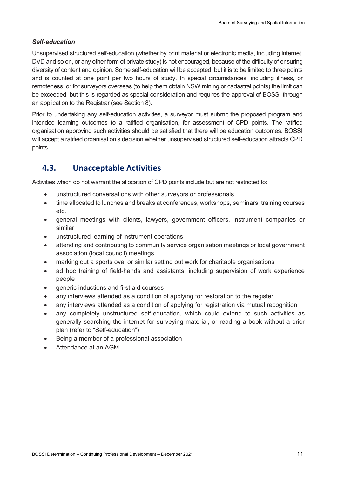#### *Self-education*

Unsupervised structured self-education (whether by print material or electronic media, including internet, DVD and so on, or any other form of private study) is not encouraged, because of the difficulty of ensuring diversity of content and opinion. Some self-education will be accepted, but it is to be limited to three points and is counted at one point per two hours of study. In special circumstances, including illness, or remoteness, or for surveyors overseas (to help them obtain NSW mining or cadastral points) the limit can be exceeded, but this is regarded as special consideration and requires the approval of BOSSI through an application to the Registrar (see Section 8).

Prior to undertaking any self-education activities, a surveyor must submit the proposed program and intended learning outcomes to a ratified organisation, for assessment of CPD points. The ratified organisation approving such activities should be satisfied that there will be education outcomes. BOSSI will accept a ratified organisation's decision whether unsupervised structured self-education attracts CPD points.

## <span id="page-10-0"></span>**4.3. Unacceptable Activities**

Activities which do not warrant the allocation of CPD points include but are not restricted to:

- unstructured conversations with other surveyors or professionals
- time allocated to lunches and breaks at conferences, workshops, seminars, training courses etc.
- general meetings with clients, lawyers, government officers, instrument companies or similar
- unstructured learning of instrument operations
- attending and contributing to community service organisation meetings or local government association (local council) meetings
- marking out a sports oval or similar setting out work for charitable organisations
- ad hoc training of field-hands and assistants, including supervision of work experience people
- generic inductions and first aid courses
- any interviews attended as a condition of applying for restoration to the register
- any interviews attended as a condition of applying for registration via mutual recognition
- any completely unstructured self-education, which could extend to such activities as generally searching the internet for surveying material, or reading a book without a prior plan (refer to "Self-education")
- Being a member of a professional association
- Attendance at an AGM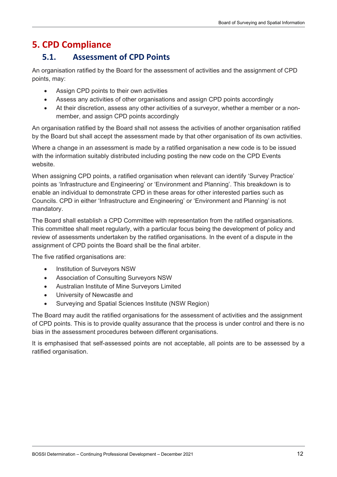## <span id="page-11-0"></span>**5. CPD Compliance**

## <span id="page-11-1"></span>**5.1. Assessment of CPD Points**

An organisation ratified by the Board for the assessment of activities and the assignment of CPD points, may:

- Assign CPD points to their own activities
- Assess any activities of other organisations and assign CPD points accordingly
- At their discretion, assess any other activities of a surveyor, whether a member or a nonmember, and assign CPD points accordingly

An organisation ratified by the Board shall not assess the activities of another organisation ratified by the Board but shall accept the assessment made by that other organisation of its own activities.

Where a change in an assessment is made by a ratified organisation a new code is to be issued with the information suitably distributed including posting the new code on the CPD Events website.

When assigning CPD points, a ratified organisation when relevant can identify 'Survey Practice' points as 'Infrastructure and Engineering' or 'Environment and Planning'. This breakdown is to enable an individual to demonstrate CPD in these areas for other interested parties such as Councils. CPD in either 'Infrastructure and Engineering' or 'Environment and Planning' is not mandatory.

The Board shall establish a CPD Committee with representation from the ratified organisations. This committee shall meet regularly, with a particular focus being the development of policy and review of assessments undertaken by the ratified organisations. In the event of a dispute in the assignment of CPD points the Board shall be the final arbiter.

The five ratified organisations are:

- Institution of Surveyors NSW
- Association of Consulting Surveyors NSW
- Australian Institute of Mine Surveyors Limited
- University of Newcastle and
- Surveying and Spatial Sciences Institute (NSW Region)

The Board may audit the ratified organisations for the assessment of activities and the assignment of CPD points. This is to provide quality assurance that the process is under control and there is no bias in the assessment procedures between different organisations.

It is emphasised that self-assessed points are not acceptable, all points are to be assessed by a ratified organisation.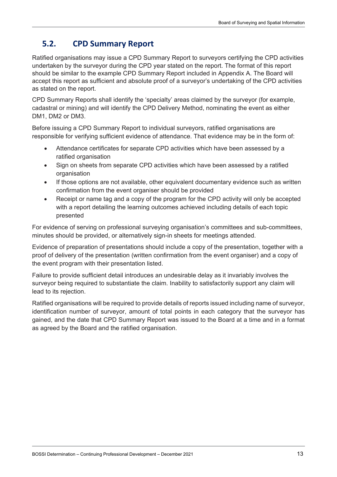## <span id="page-12-0"></span>**5.2. CPD Summary Report**

Ratified organisations may issue a CPD Summary Report to surveyors certifying the CPD activities undertaken by the surveyor during the CPD year stated on the report. The format of this report should be similar to the example CPD Summary Report included in Appendix A. The Board will accept this report as sufficient and absolute proof of a surveyor's undertaking of the CPD activities as stated on the report.

CPD Summary Reports shall identify the 'specialty' areas claimed by the surveyor (for example, cadastral or mining) and will identify the CPD Delivery Method, nominating the event as either DM1, DM2 or DM3.

Before issuing a CPD Summary Report to individual surveyors, ratified organisations are responsible for verifying sufficient evidence of attendance. That evidence may be in the form of:

- Attendance certificates for separate CPD activities which have been assessed by a ratified organisation
- Sign on sheets from separate CPD activities which have been assessed by a ratified organisation
- If those options are not available, other equivalent documentary evidence such as written confirmation from the event organiser should be provided
- Receipt or name tag and a copy of the program for the CPD activity will only be accepted with a report detailing the learning outcomes achieved including details of each topic presented

For evidence of serving on professional surveying organisation's committees and sub-committees, minutes should be provided, or alternatively sign-in sheets for meetings attended.

Evidence of preparation of presentations should include a copy of the presentation, together with a proof of delivery of the presentation (written confirmation from the event organiser) and a copy of the event program with their presentation listed.

Failure to provide sufficient detail introduces an undesirable delay as it invariably involves the surveyor being required to substantiate the claim. Inability to satisfactorily support any claim will lead to its rejection.

Ratified organisations will be required to provide details of reports issued including name of surveyor, identification number of surveyor, amount of total points in each category that the surveyor has gained, and the date that CPD Summary Report was issued to the Board at a time and in a format as agreed by the Board and the ratified organisation.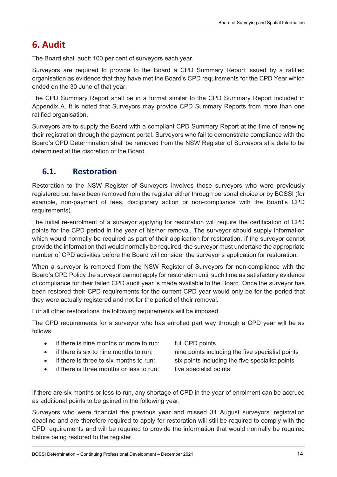## <span id="page-13-0"></span>**6. Audit**

The Board shall audit 100 per cent of surveyors each year.

Surveyors are required to provide to the Board a CPD Summary Report issued by a ratified organisation as evidence that they have met the Board's CPD requirements for the CPD Year which ended on the 30 June of that year.

The CPD Summary Report shall be in a format similar to the CPD Summary Report included in Appendix A. It is noted that Surveyors may provide CPD Summary Reports from more than one ratified organisation.

Surveyors are to supply the Board with a compliant CPD Summary Report at the time of renewing their registration through the payment portal. Surveyors who fail to demonstrate compliance with the Board's CPD Determination shall be removed from the NSW Register of Surveyors at a date to be determined at the discretion of the Board.

## <span id="page-13-1"></span>**6.1. Restoration**

Restoration to the NSW Register of Surveyors involves those surveyors who were previously registered but have been removed from the register either through personal choice or by BOSSI (for example, non-payment of fees, disciplinary action or non-compliance with the Board's CPD requirements).

The initial re-enrolment of a surveyor applying for restoration will require the certification of CPD points for the CPD period in the year of his/her removal. The surveyor should supply information which would normally be required as part of their application for restoration. If the surveyor cannot provide the information that would normally be required, the surveyor must undertake the appropriate number of CPD activities before the Board will consider the surveyor's application for restoration.

When a surveyor is removed from the NSW Register of Surveyors for non-compliance with the Board's CPD Policy the surveyor cannot apply for restoration until such time as satisfactory evidence of compliance for their failed CPD audit year is made available to the Board. Once the surveyor has been restored their CPD requirements for the current CPD year would only be for the period that they were actually registered and not for the period of their removal.

For all other restorations the following requirements will be imposed.

The CPD requirements for a surveyor who has enrolled part way through a CPD year will be as follows:

- if there is nine months or more to run: full CPD points
	-
- 
- 
- if there is three months or less to run: five specialist points

• if there is six to nine months to run: nine points including the five specialist points if there is three to six months to run: six points including the five specialist points

If there are six months or less to run, any shortage of CPD in the year of enrolment can be accrued as additional points to be gained in the following year.

Surveyors who were financial the previous year and missed 31 August surveyors' registration deadline and are therefore required to apply for restoration will still be required to comply with the CPD requirements and will be required to provide the information that would normally be required before being restored to the register.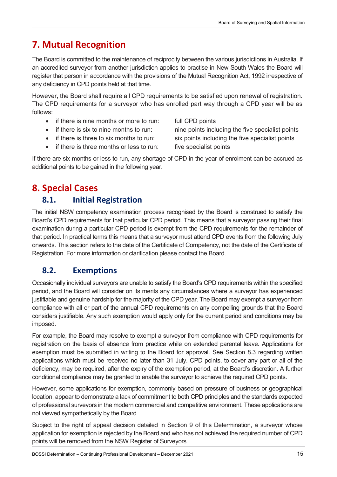# <span id="page-14-0"></span>**7. Mutual Recognition**

The Board is committed to the maintenance of reciprocity between the various jurisdictions in Australia. If an accredited surveyor from another jurisdiction applies to practise in New South Wales the Board will register that person in accordance with the provisions of the Mutual Recognition Act, 1992 irrespective of any deficiency in CPD points held at that time.

However, the Board shall require all CPD requirements to be satisfied upon renewal of registration. The CPD requirements for a surveyor who has enrolled part way through a CPD year will be as follows:

- if there is nine months or more to run: full CPD points
- 
- 
- if there is three months or less to run: five specialist points

• if there is six to nine months to run: nine points including the five specialist points • if there is three to six months to run: six points including the five specialist points

If there are six months or less to run, any shortage of CPD in the year of enrolment can be accrued as additional points to be gained in the following year.

## <span id="page-14-1"></span>**8. Special Cases**

## <span id="page-14-2"></span>**8.1. Initial Registration**

The initial NSW competency examination process recognised by the Board is construed to satisfy the Board's CPD requirements for that particular CPD period. This means that a surveyor passing their final examination during a particular CPD period is exempt from the CPD requirements for the remainder of that period. In practical terms this means that a surveyor must attend CPD events from the following July onwards. This section refers to the date of the Certificate of Competency, not the date of the Certificate of Registration. For more information or clarification please contact the Board.

## <span id="page-14-3"></span>**8.2. Exemptions**

Occasionally individual surveyors are unable to satisfy the Board's CPD requirements within the specified period, and the Board will consider on its merits any circumstances where a surveyor has experienced justifiable and genuine hardship for the majority of the CPD year. The Board may exempt a surveyor from compliance with all or part of the annual CPD requirements on any compelling grounds that the Board considers justifiable. Any such exemption would apply only for the current period and conditions may be imposed.

For example, the Board may resolve to exempt a surveyor from compliance with CPD requirements for registration on the basis of absence from practice while on extended parental leave. Applications for exemption must be submitted in writing to the Board for approval. See Section 8.3 regarding written applications which must be received no later than 31 July. CPD points, to cover any part or all of the deficiency, may be required, after the expiry of the exemption period, at the Board's discretion. A further conditional compliance may be granted to enable the surveyor to achieve the required CPD points.

However, some applications for exemption, commonly based on pressure of business or geographical location, appear to demonstrate a lack of commitment to both CPD principles and the standards expected of professional surveyors in the modern commercial and competitive environment. These applications are not viewed sympathetically by the Board.

Subject to the right of appeal decision detailed in Section 9 of this Determination, a surveyor whose application for exemption is rejected by the Board and who has not achieved the required number of CPD points will be removed from the NSW Register of Surveyors.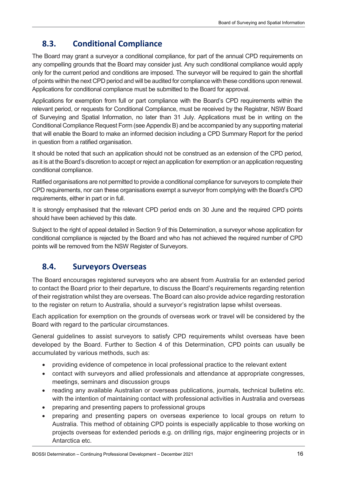## <span id="page-15-0"></span>**8.3. Conditional Compliance**

The Board may grant a surveyor a conditional compliance, for part of the annual CPD requirements on any compelling grounds that the Board may consider just. Any such conditional compliance would apply only for the current period and conditions are imposed. The surveyor will be required to gain the shortfall of points within the next CPD period and will be audited for compliance with these conditions upon renewal. Applications for conditional compliance must be submitted to the Board for approval.

Applications for exemption from full or part compliance with the Board's CPD requirements within the relevant period, or requests for Conditional Compliance, must be received by the Registrar, NSW Board of Surveying and Spatial Information, no later than 31 July. Applications must be in writing on the Conditional Compliance Request Form (see Appendix B) and be accompanied by any supporting material that will enable the Board to make an informed decision including a CPD Summary Report for the period in question from a ratified organisation.

It should be noted that such an application should not be construed as an extension of the CPD period, as it is at the Board's discretion to accept or reject an application for exemption or an application requesting conditional compliance.

Ratified organisations are not permitted to provide a conditional compliance for surveyors to complete their CPD requirements, nor can these organisations exempt a surveyor from complying with the Board's CPD requirements, either in part or in full.

It is strongly emphasised that the relevant CPD period ends on 30 June and the required CPD points should have been achieved by this date.

Subject to the right of appeal detailed in Section 9 of this Determination, a surveyor whose application for conditional compliance is rejected by the Board and who has not achieved the required number of CPD points will be removed from the NSW Register of Surveyors.

## <span id="page-15-1"></span>**8.4. Surveyors Overseas**

The Board encourages registered surveyors who are absent from Australia for an extended period to contact the Board prior to their departure, to discuss the Board's requirements regarding retention of their registration whilst they are overseas. The Board can also provide advice regarding restoration to the register on return to Australia, should a surveyor's registration lapse whilst overseas.

Each application for exemption on the grounds of overseas work or travel will be considered by the Board with regard to the particular circumstances.

General guidelines to assist surveyors to satisfy CPD requirements whilst overseas have been developed by the Board. Further to Section 4 of this Determination, CPD points can usually be accumulated by various methods, such as:

- providing evidence of competence in local professional practice to the relevant extent
- contact with surveyors and allied professionals and attendance at appropriate congresses, meetings, seminars and discussion groups
- reading any available Australian or overseas publications, journals, technical bulletins etc. with the intention of maintaining contact with professional activities in Australia and overseas
- preparing and presenting papers to professional groups
- preparing and presenting papers on overseas experience to local groups on return to Australia. This method of obtaining CPD points is especially applicable to those working on projects overseas for extended periods e.g. on drilling rigs, major engineering projects or in Antarctica etc.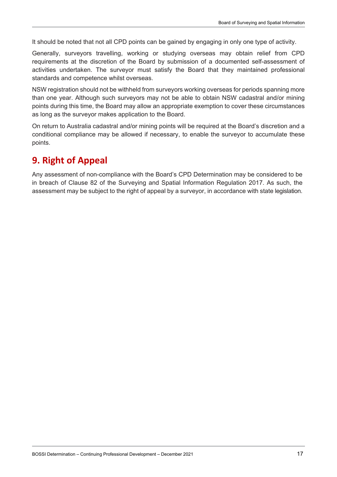It should be noted that not all CPD points can be gained by engaging in only one type of activity.

Generally, surveyors travelling, working or studying overseas may obtain relief from CPD requirements at the discretion of the Board by submission of a documented self-assessment of activities undertaken. The surveyor must satisfy the Board that they maintained professional standards and competence whilst overseas.

NSW registration should not be withheld from surveyors working overseas for periods spanning more than one year. Although such surveyors may not be able to obtain NSW cadastral and/or mining points during this time, the Board may allow an appropriate exemption to cover these circumstances as long as the surveyor makes application to the Board.

On return to Australia cadastral and/or mining points will be required at the Board's discretion and a conditional compliance may be allowed if necessary, to enable the surveyor to accumulate these points.

## <span id="page-16-0"></span>**9. Right of Appeal**

Any assessment of non-compliance with the Board's CPD Determination may be considered to be in breach of Clause 82 of the Surveying and Spatial Information Regulation 2017. As such, the assessment may be subject to the right of appeal by a surveyor, in accordance with state legislation.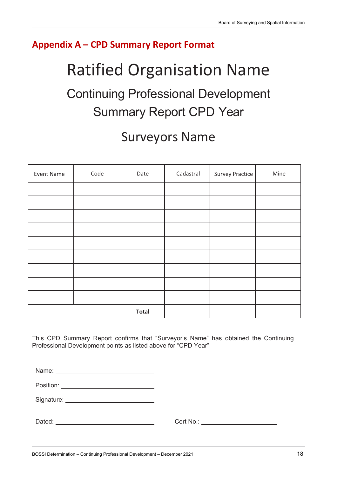## <span id="page-17-0"></span>**Appendix A – CPD Summary Report Format**

# Ratified Organisation Name

# Continuing Professional Development Summary Report CPD Year

# Surveyors Name

| Event Name | Code | Date         | Cadastral | <b>Survey Practice</b> | Mine |
|------------|------|--------------|-----------|------------------------|------|
|            |      |              |           |                        |      |
|            |      |              |           |                        |      |
|            |      |              |           |                        |      |
|            |      |              |           |                        |      |
|            |      |              |           |                        |      |
|            |      |              |           |                        |      |
|            |      |              |           |                        |      |
|            |      |              |           |                        |      |
|            |      |              |           |                        |      |
|            |      | <b>Total</b> |           |                        |      |

This CPD Summary Report confirms that "Surveyor's Name" has obtained the Continuing Professional Development points as listed above for "CPD Year"

Name:

Position:

Signature: University of Signature:

Dated: University Cert No.: Cert No.: Cert No.: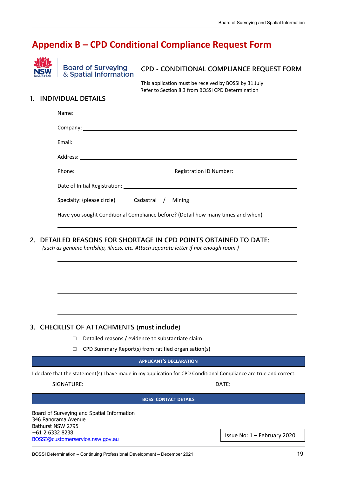## <span id="page-18-0"></span>**Appendix B – CPD Conditional Compliance Request Form**



**Board of Surveying** & Spatial Information

#### **CPD - CONDITIONAL COMPLIANCE REQUEST FORM**

This application must be received by BOSSI by 31 July Refer to Section 8.3 from BOSSI CPD Determination

#### **1. INDIVIDUAL DETAILS**

| Specialty: (please circle)    Cadastral / Mining                                |  |  |  |
|---------------------------------------------------------------------------------|--|--|--|
| Have you sought Conditional Compliance before? (Detail how many times and when) |  |  |  |

#### **2. DETAILED REASONS FOR SHORTAGE IN CPD POINTS OBTAINED TO DATE:**

*(such as genuine hardship, illness, etc. Attach separate letter if not enough room.)*

#### **3. CHECKLIST OF ATTACHMENTS (must include)**

- □ Detailed reasons / evidence to substantiate claim
- $\Box$  CPD Summary Report(s) from ratified organisation(s)

#### **APPLICANT'S DECLARATION**

I declare that the statement(s) I have made in my application for CPD Conditional Compliance are true and correct.

SIGNATURE: DATE:

#### **BOSSI CONTACT DETAILS**

Board of Surveying and Spatial Information 346 Panorama Avenue Bathurst NSW 2795 +61 2 6332 8238 [BOSSI@customerservice.nsw.gov.au](mailto:BOSSI@customerservice.nsw.gov.au)

Issue No: 1 – February 2020